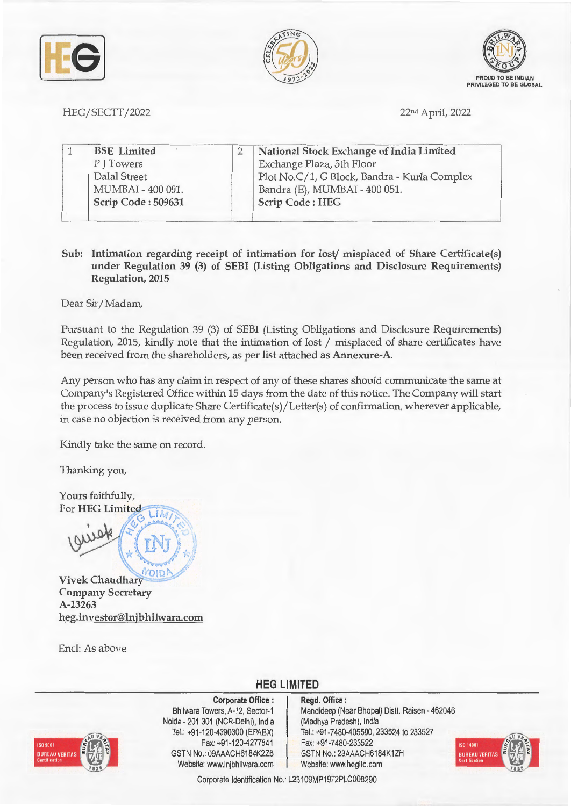





HEG/SECTT/2022 22nd April, 2022

| <b>BSE</b> Limited | National Stock Exchange of India Limited     |  |
|--------------------|----------------------------------------------|--|
| PJTowers           | Exchange Plaza, 5th Floor                    |  |
| Dalal Street       | Plot No.C/1, G Block, Bandra - Kurla Complex |  |
| MUMBAI - 400 001.  | Bandra (E), MUMBAI - 400 051.                |  |
| Scrip Code: 509631 | <b>Scrip Code: HEG</b>                       |  |

**Sub: Intimation regarding receipt of intimation for lost/ misplaced of Share Certificate(s) under Regulation 39 (3) of SEBI (Listing Obligations and Disclosure Requirements) Regulation, 2015** 

Dear Sir/ Madam,

Pursuant to the Regulation 39 (3) of SEBI (Listing Obligations and Disclosure Requirements) Regulation, 2015, kindly note that the intimation of lost / misplaced of share certificates have been received from the shareholders, as per list attached as **Annexure-A.** 

Any person who has any claim in respect of any of these shares should communicate the same at Company's Registered Office within 15 days from the date of this notice. The Company will start the process to issue duplicate Share Certificate(s)/Letter(s) of confirmation, wherever applicable, in case no objection is received from any person.

Kindly take the same on record.

Thanking you,

Yours faithfully, For **HEG** Limited

viete (1)

 $N$ OIDA **Vivek Chaudhary Company Secretary A-13263 heg.investor@lnjbhilwara.com** 

Encl: As above

**HEG LIMITED** 



**Corporate Office** : Bhilwara Towers, A-12, Sector-1 Noida - 201 301 (NCR-Delhi), India Tel.: +91-120-4390300 (EPABX) Fax: +91 -120-4277841 GSTN No.: 09AAACH6184K2Z6 Website: www.lnjbhilwara.com Website: www.hegltd.com

**Regd. Office** : Mandideep (Near Bhopal) Distt. Raisen - 462046 (Madhya Pradesh), India Tel.: +91 -7480-405500, 233524 to 233527 Fax: +91 -7480-233522 GSTN No.: 23AAACH6184K1ZH



Corporate Identification No.: L23109MP1972PLC008290